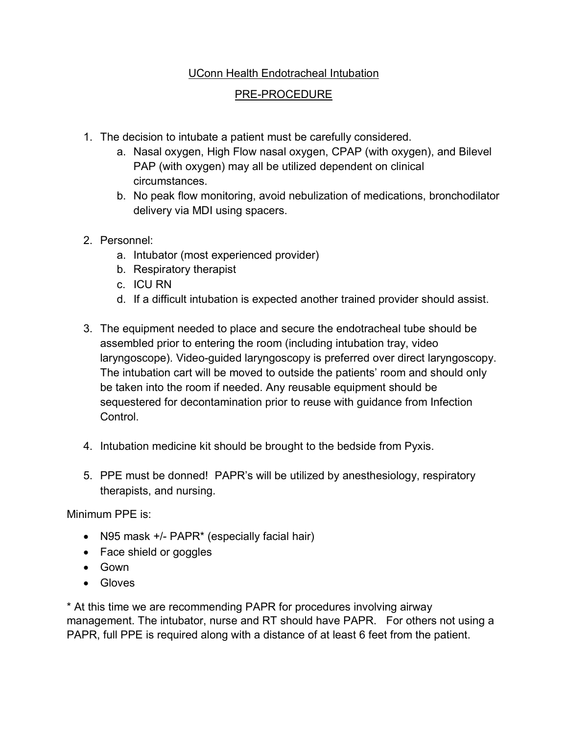## UConn Health Endotracheal Intubation

## PRE-PROCEDURE

- 1. The decision to intubate a patient must be carefully considered.
	- a. Nasal oxygen, High Flow nasal oxygen, CPAP (with oxygen), and Bilevel PAP (with oxygen) may all be utilized dependent on clinical circumstances.
	- b. No peak flow monitoring, avoid nebulization of medications, bronchodilator delivery via MDI using spacers.
- 2. Personnel:
	- a. Intubator (most experienced provider)
	- b. Respiratory therapist
	- c. ICU RN
	- d. If a difficult intubation is expected another trained provider should assist.
- 3. The equipment needed to place and secure the endotracheal tube should be assembled prior to entering the room (including intubation tray, video laryngoscope). Video-guided laryngoscopy is preferred over direct laryngoscopy. The intubation cart will be moved to outside the patients' room and should only be taken into the room if needed. Any reusable equipment should be sequestered for decontamination prior to reuse with guidance from Infection Control.
- 4. Intubation medicine kit should be brought to the bedside from Pyxis.
- 5. PPE must be donned! PAPR's will be utilized by anesthesiology, respiratory therapists, and nursing.

Minimum PPE is:

- N95 mask +/- PAPR<sup>\*</sup> (especially facial hair)
- Face shield or goggles
- Gown
- Gloves

\* At this time we are recommending PAPR for procedures involving airway management. The intubator, nurse and RT should have PAPR. For others not using a PAPR, full PPE is required along with a distance of at least 6 feet from the patient.